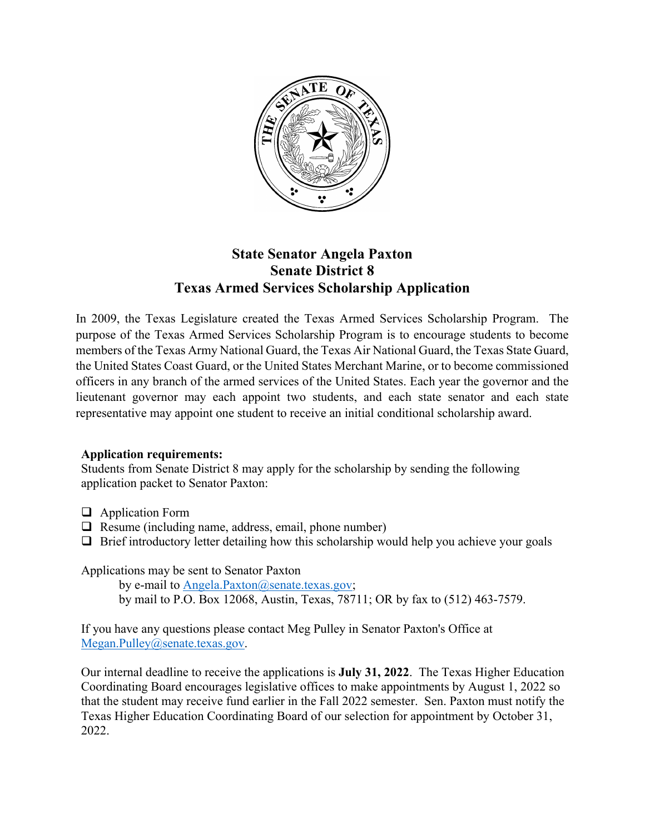

## **State Senator Angela Paxton Senate District 8 Texas Armed Services Scholarship Application**

In 2009, the Texas Legislature created the Texas Armed Services Scholarship Program. The purpose of the Texas Armed Services Scholarship Program is to encourage students to become members of the Texas Army National Guard, the Texas Air National Guard, the Texas State Guard, the United States Coast Guard, or the United States Merchant Marine, or to become commissioned officers in any branch of the armed services of the United States. Each year the governor and the lieutenant governor may each appoint two students, and each state senator and each state representative may appoint one student to receive an initial conditional scholarship award.

## **Application requirements:**

Students from Senate District 8 may apply for the scholarship by sending the following application packet to Senator Paxton:

- $\Box$  Application Form
- $\Box$  Resume (including name, address, email, phone number)
- $\Box$  Brief introductory letter detailing how this scholarship would help you achieve your goals

Applications may be sent to Senator Paxton

by e-mail to [Angela.Paxton@senate.texas.gov;](mailto:Angela.Paxton@senate.texas.gov) by mail to P.O. Box 12068, Austin, Texas, 78711; OR by fax to (512) 463-7579.

If you have any questions please contact Meg Pulley in Senator Paxton's Office at [Megan.Pulley@senate.texas.gov.](mailto:Megan.Pulley@senate.texas.gov)

Our internal deadline to receive the applications is **July 31, 2022**. The Texas Higher Education Coordinating Board encourages legislative offices to make appointments by August 1, 2022 so that the student may receive fund earlier in the Fall 2022 semester. Sen. Paxton must notify the Texas Higher Education Coordinating Board of our selection for appointment by October 31, 2022.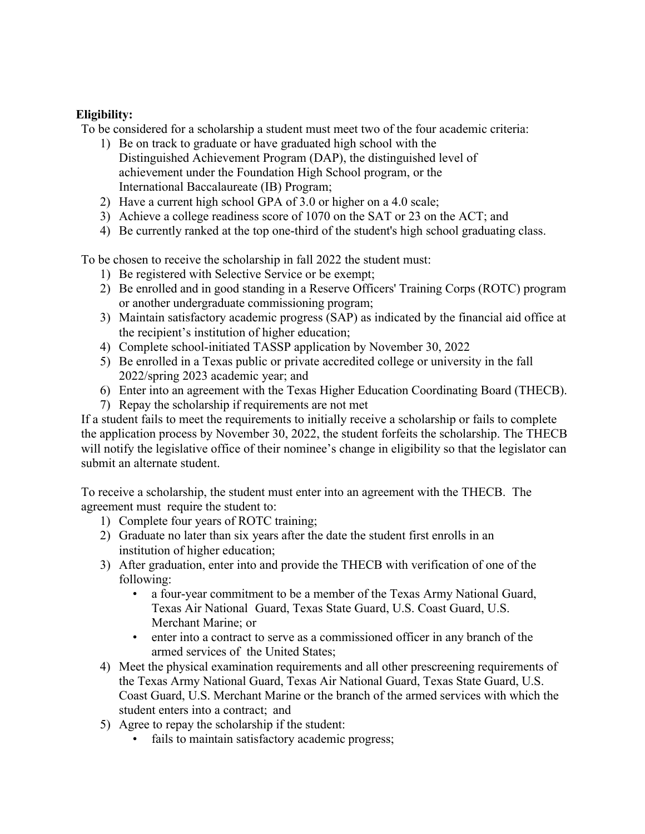## **Eligibility:**

To be considered for a scholarship a student must meet two of the four academic criteria:

- 1) Be on track to graduate or have graduated high school with the Distinguished Achievement Program (DAP), the distinguished level of achievement under the Foundation High School program, or the International Baccalaureate (IB) Program;
- 2) Have a current high school GPA of 3.0 or higher on a 4.0 scale;
- 3) Achieve a college readiness score of 1070 on the SAT or 23 on the ACT; and
- 4) Be currently ranked at the top one-third of the student's high school graduating class.

To be chosen to receive the scholarship in fall 2022 the student must:

- 1) Be registered with Selective Service or be exempt;
- 2) Be enrolled and in good standing in a Reserve Officers' Training Corps (ROTC) program or another undergraduate commissioning program;
- 3) Maintain satisfactory academic progress (SAP) as indicated by the financial aid office at the recipient's institution of higher education;
- 4) Complete school-initiated TASSP application by November 30, 2022
- 5) Be enrolled in a Texas public or private accredited college or university in the fall 2022/spring 2023 academic year; and
- 6) Enter into an agreement with the Texas Higher Education Coordinating Board (THECB).
- 7) Repay the scholarship if requirements are not met

If a student fails to meet the requirements to initially receive a scholarship or fails to complete the application process by November 30, 2022, the student forfeits the scholarship. The THECB will notify the legislative office of their nominee's change in eligibility so that the legislator can submit an alternate student.

To receive a scholarship, the student must enter into an agreement with the THECB. The agreement must require the student to:

- 1) Complete four years of ROTC training;
- 2) Graduate no later than six years after the date the student first enrolls in an institution of higher education;
- 3) After graduation, enter into and provide the THECB with verification of one of the following:
	- a four-year commitment to be a member of the Texas Army National Guard, Texas Air National Guard, Texas State Guard, U.S. Coast Guard, U.S. Merchant Marine; or
	- enter into a contract to serve as a commissioned officer in any branch of the armed services of the United States;
- 4) Meet the physical examination requirements and all other prescreening requirements of the Texas Army National Guard, Texas Air National Guard, Texas State Guard, U.S. Coast Guard, U.S. Merchant Marine or the branch of the armed services with which the student enters into a contract; and
- 5) Agree to repay the scholarship if the student:
	- fails to maintain satisfactory academic progress;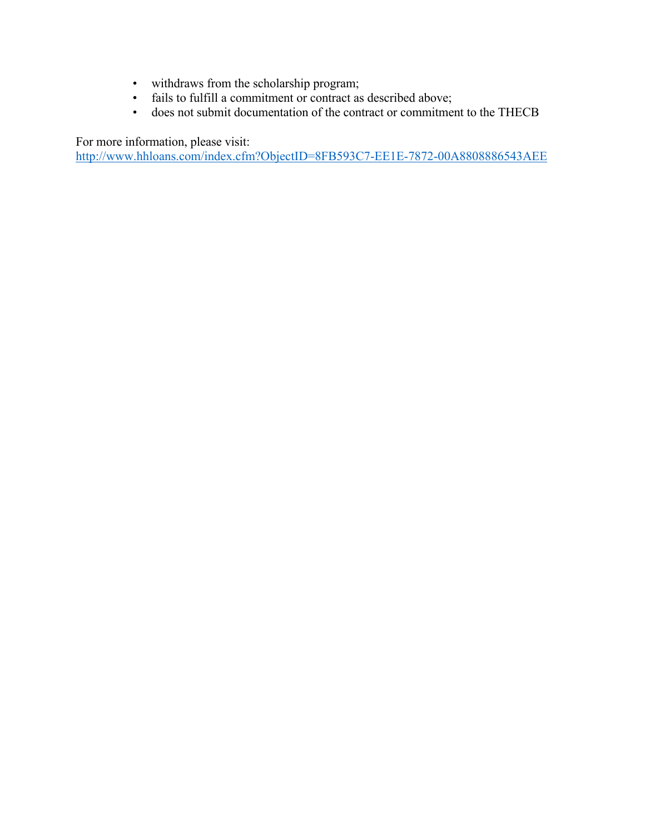- withdraws from the scholarship program;
- fails to fulfill a commitment or contract as described above;
- does not submit documentation of the contract or commitment to the THECB

For more information, please visit:

<http://www.hhloans.com/index.cfm?ObjectID=8FB593C7-EE1E-7872-00A8808886543AEE>